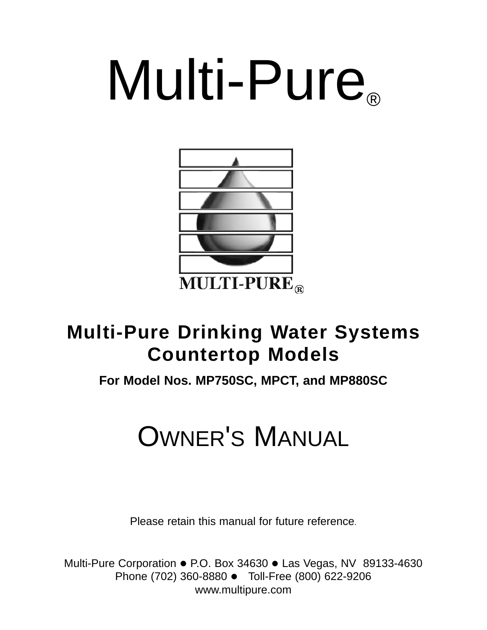# Multi-Pure



# **Multi-Pure Drinking Water Systems Countertop Models**

# **For Model Nos. MP750SC, MPCT, and MP880SC**

# OWNER'S MANUAL

Please retain this manual for future reference.

Multi-Pure Corporation • P.O. Box 34630 • Las Vegas, NV 89133-4630 Phone (702) 360-8880 • Toll-Free (800) 622-9206 www.multipure.com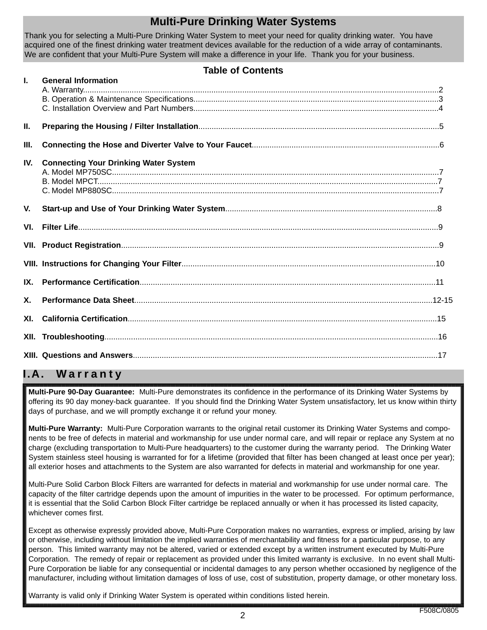# **Multi-Pure Drinking Water Systems**

Thank you for selecting a Multi-Pure Drinking Water System to meet your need for quality drinking water. You have acquired one of the finest drinking water treatment devices available for the reduction of a wide array of contaminants. We are confident that your Multi-Pure System will make a difference in your life. Thank you for your business.

### **Table of Contents**

| $\mathbf{L}$   | <b>General Information</b>                   |  |
|----------------|----------------------------------------------|--|
|                |                                              |  |
|                |                                              |  |
| П.             |                                              |  |
| Ш.             |                                              |  |
| IV.            | <b>Connecting Your Drinking Water System</b> |  |
| V.             |                                              |  |
| VI.            |                                              |  |
|                |                                              |  |
|                |                                              |  |
| IX.            |                                              |  |
| $\mathsf{x}$ . |                                              |  |
|                |                                              |  |
| XII.           |                                              |  |
|                |                                              |  |

# **I.A. W arranty**

**Multi-Pure 90-Day Guarantee:** Multi-Pure demonstrates its confidence in the performance of its Drinking Water Systems by offering its 90 day money-back guarantee. If you should find the Drinking Water System unsatisfactory, let us know within thirty days of purchase, and we will promptly exchange it or refund your money.

**Multi-Pure Warranty:** Multi-Pure Corporation warrants to the original retail customer its Drinking Water Systems and components to be free of defects in material and workmanship for use under normal care, and will repair or replace any System at no charge (excluding transportation to Multi-Pure headquarters) to the customer during the warranty period. The Drinking Water System stainless steel housing is warranted for for a lifetime (provided that filter has been changed at least once per year); all exterior hoses and attachments to the System are also warranted for defects in material and workmanship for one year.

Multi-Pure Solid Carbon Block Filters are warranted for defects in material and workmanship for use under normal care. The capacity of the filter cartridge depends upon the amount of impurities in the water to be processed. For optimum performance, it is essential that the Solid Carbon Block Filter cartridge be replaced annually or when it has processed its listed capacity, whichever comes first.

Except as otherwise expressly provided above, Multi-Pure Corporation makes no warranties, express or implied, arising by law or otherwise, including without limitation the implied warranties of merchantability and fitness for a particular purpose, to any person. This limited warranty may not be altered, varied or extended except by a written instrument executed by Multi-Pure Corporation. The remedy of repair or replacement as provided under this limited warranty is exclusive. In no event shall Multi-Pure Corporation be liable for any consequential or incidental damages to any person whether occasioned by negligence of the manufacturer, including without limitation damages of loss of use, cost of substitution, property damage, or other monetary loss.

Warranty is valid only if Drinking Water System is operated within conditions listed herein.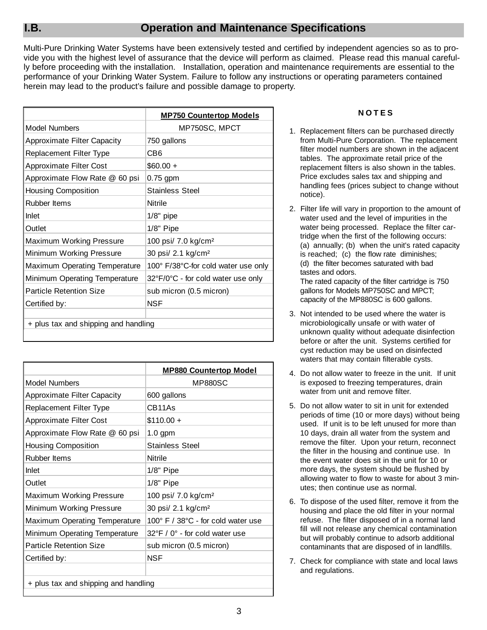Multi-Pure Drinking Water Systems have been extensively tested and certified by independent agencies so as to provide you with the highest level of assurance that the device will perform as claimed. Please read this manual carefully before proceeding with the installation. Installation, operation and maintenance requirements are essential to the performance of your Drinking Water System. Failure to follow any instructions or operating parameters contained herein may lead to the product's failure and possible damage to property.

|                                      | <b>MP750 Countertop Models</b>      |
|--------------------------------------|-------------------------------------|
| <b>Model Numbers</b>                 | MP750SC, MPCT                       |
| <b>Approximate Filter Capacity</b>   | 750 gallons                         |
| Replacement Filter Type              | CB6                                 |
| Approximate Filter Cost              | $$60.00 +$                          |
| Approximate Flow Rate @ 60 psi       | $0.75$ gpm                          |
| <b>Housing Composition</b>           | <b>Stainless Steel</b>              |
| <b>Rubber Items</b>                  | Nitrile                             |
| Inlet                                | $1/8"$ pipe                         |
| Outlet                               | $1/8"$ Pipe                         |
| Maximum Working Pressure             | 100 psi/ 7.0 kg/cm <sup>2</sup>     |
| Minimum Working Pressure             | 30 psi/ 2.1 kg/cm <sup>2</sup>      |
| Maximum Operating Temperature        | 100° F/38°C-for cold water use only |
| Minimum Operating Temperature        | 32°F/0°C - for cold water use only  |
| <b>Particle Retention Size</b>       | sub micron (0.5 micron)             |
| Certified by:                        | NSF                                 |
|                                      |                                     |
| + plus tax and shipping and handling |                                     |

|                                      | <b>MP880 Countertop Model</b>                      |  |  |
|--------------------------------------|----------------------------------------------------|--|--|
| <b>Model Numbers</b>                 | <b>MP880SC</b>                                     |  |  |
| <b>Approximate Filter Capacity</b>   | 600 gallons                                        |  |  |
| Replacement Filter Type              | CB11As                                             |  |  |
| <b>Approximate Filter Cost</b>       | $$110.00 +$                                        |  |  |
| Approximate Flow Rate @ 60 psi       | $1.0$ gpm                                          |  |  |
| <b>Housing Composition</b>           | <b>Stainless Steel</b>                             |  |  |
| <b>Rubber Items</b>                  | Nitrile                                            |  |  |
| Inlet                                | $1/8"$ Pipe                                        |  |  |
| Outlet                               | $1/8"$ Pipe                                        |  |  |
| Maximum Working Pressure             | 100 psi/ 7.0 kg/cm <sup>2</sup>                    |  |  |
| Minimum Working Pressure             | 30 psi/ 2.1 kg/cm <sup>2</sup>                     |  |  |
| Maximum Operating Temperature        | 100° F / 38°C - for cold water use                 |  |  |
| Minimum Operating Temperature        | $32^{\circ}$ F / 0 $^{\circ}$ - for cold water use |  |  |
| <b>Particle Retention Size</b>       | sub micron (0.5 micron)                            |  |  |
| Certified by:                        | NSF                                                |  |  |
|                                      |                                                    |  |  |
| + plus tax and shipping and handling |                                                    |  |  |

### **NOTES**

- 1. Replacement filters can be purchased directly from Multi-Pure Corporation. The replacement filter model numbers are shown in the adjacent tables. The approximate retail price of the replacement filters is also shown in the tables. Price excludes sales tax and shipping and handling fees (prices subject to change without notice).
- 2. Filter life will vary in proportion to the amount of water used and the level of impurities in the water being processed. Replace the filter cartridge when the first of the following occurs: (a) annually; (b) when the unit's rated capacity is reached; (c) the flow rate diminishes; (d) the filter becomes saturated with bad tastes and odors. The rated capacity of the filter cartridge is 750

gallons for Models MP750SC and MPCT; capacity of the MP880SC is 600 gallons.

- 3. Not intended to be used where the water is microbiologically unsafe or with water of unknown quality without adequate disinfection before or after the unit. Systems certified for cyst reduction may be used on disinfected waters that may contain filterable cysts.
- 4. Do not allow water to freeze in the unit. If unit is exposed to freezing temperatures, drain water from unit and remove filter.
- 5. Do not allow water to sit in unit for extended periods of time (10 or more days) without being used. If unit is to be left unused for more than 10 days, drain all water from the system and remove the filter. Upon your return, reconnect the filter in the housing and continue use. In the event water does sit in the unit for 10 or more days, the system should be flushed by allowing water to flow to waste for about 3 minutes; then continue use as normal.
- 6. To dispose of the used filter, remove it from the housing and place the old filter in your normal refuse. The filter disposed of in a normal land fill will not release any chemical contamination but will probably continue to adsorb additional contaminants that are disposed of in landfills.
- 7. Check for compliance with state and local laws and regulations.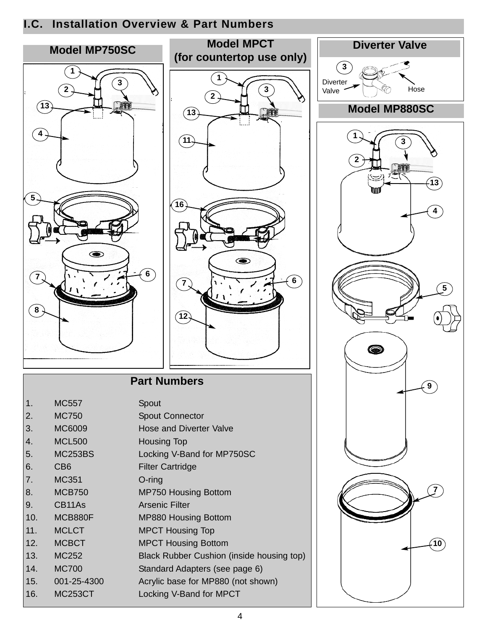# **I.C. Installation Overview & Part Numbers**

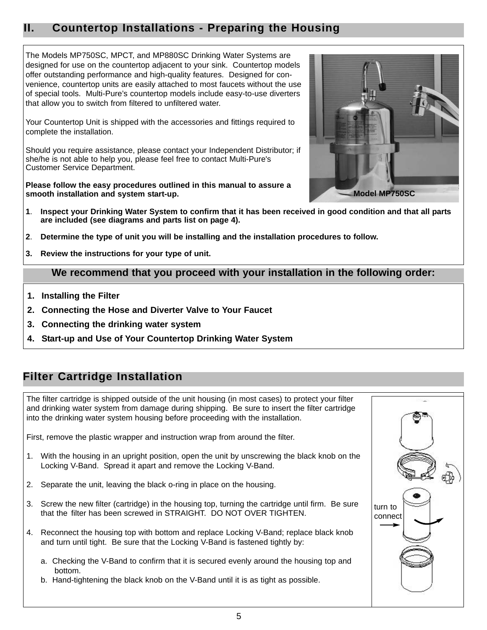# **II. Countertop Installations - Preparing the Housing**

The Models MP750SC, MPCT, and MP880SC Drinking Water Systems are designed for use on the countertop adjacent to your sink. Countertop models offer outstanding performance and high-quality features. Designed for convenience, countertop units are easily attached to most faucets without the use of special tools. Multi-Pure's countertop models include easy-to-use diverters that allow you to switch from filtered to unfiltered water.

Your Countertop Unit is shipped with the accessories and fittings required to complete the installation.

Should you require assistance, please contact your Independent Distributor; if she/he is not able to help you, please feel free to contact Multi-Pure's Customer Service Department.

**Please follow the easy procedures outlined in this manual to assure a smooth installation and system start-up.**



- **1**. **Inspect your Drinking Water System to confirm that it has been received in good condition and that all parts are included (see diagrams and parts list on page 4).**
- **2**. **Determine the type of unit you will be installing and the installation procedures to follow.**
- **3. Review the instructions for your type of unit.**

### **We recommend that you proceed with your installation in the following order:**

- **1. Installing the Filter**
- **2. Connecting the Hose and Diverter Valve to Your Faucet**
- **3. Connecting the drinking water system**
- **4. Start-up and Use of Your Countertop Drinking Water System**

# **Filter Cartridge Installation**

The filter cartridge is shipped outside of the unit housing (in most cases) to protect your filter and drinking water system from damage during shipping. Be sure to insert the filter cartridge into the drinking water system housing before proceeding with the installation.

First, remove the plastic wrapper and instruction wrap from around the filter.

- 1. With the housing in an upright position, open the unit by unscrewing the black knob on the Locking V-Band. Spread it apart and remove the Locking V-Band.
- 2. Separate the unit, leaving the black o-ring in place on the housing.
- 3. Screw the new filter (cartridge) in the housing top, turning the cartridge until firm. Be sure that the filter has been screwed in STRAIGHT. DO NOT OVER TIGHTEN.
- 4. Reconnect the housing top with bottom and replace Locking V-Band; replace black knob and turn until tight. Be sure that the Locking V-Band is fastened tightly by:
	- a. Checking the V-Band to confirm that it is secured evenly around the housing top and bottom.
	- b. Hand-tightening the black knob on the V-Band until it is as tight as possible.

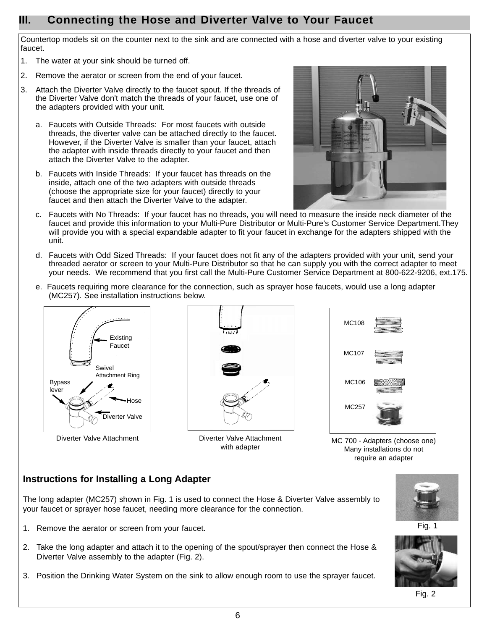# **III. Connecting the Hose and Diverter Valve to Your Faucet**

Countertop models sit on the counter next to the sink and are connected with a hose and diverter valve to your existing faucet.

- 1. The water at your sink should be turned off.
- 2. Remove the aerator or screen from the end of your faucet.
- 3. Attach the Diverter Valve directly to the faucet spout. If the threads of the Diverter Valve don't match the threads of your faucet, use one of the adapters provided with your unit.
	- a. Faucets with Outside Threads: For most faucets with outside threads, the diverter valve can be attached directly to the faucet. However, if the Diverter Valve is smaller than your faucet, attach the adapter with inside threads directly to your faucet and then attach the Diverter Valve to the adapter.
	- b. Faucets with Inside Threads: If your faucet has threads on the inside, attach one of the two adapters with outside threads (choose the appropriate size for your faucet) directly to your faucet and then attach the Diverter Valve to the adapter.



- c. Faucets with No Threads: If your faucet has no threads, you will need to measure the inside neck diameter of the faucet and provide this information to your Multi-Pure Distributor or Multi-Pure's Customer Service Department.They will provide you with a special expandable adapter to fit your faucet in exchange for the adapters shipped with the unit.
- d. Faucets with Odd Sized Threads: If your faucet does not fit any of the adapters provided with your unit, send your threaded aerator or screen to your Multi-Pure Distributor so that he can supply you with the correct adapter to meet your needs. We recommend that you first call the Multi-Pure Customer Service Department at 800-622-9206, ext.175.
- e. Faucets requiring more clearance for the connection, such as sprayer hose faucets, would use a long adapter (MC257). See installation instructions below.





Diverter Valve Attachment Diverter Valve Attachment with adapter



MC 700 - Adapters (choose one) Many installations do not require an adapter

### **Instructions for Installing a Long Adapter**

The long adapter (MC257) shown in Fig. 1 is used to connect the Hose & Diverter Valve assembly to your faucet or sprayer hose faucet, needing more clearance for the connection.

- 1. Remove the aerator or screen from your faucet.
- 2. Take the long adapter and attach it to the opening of the spout/sprayer then connect the Hose & Diverter Valve assembly to the adapter (Fig. 2).
- 3. Position the Drinking Water System on the sink to allow enough room to use the sprayer faucet.





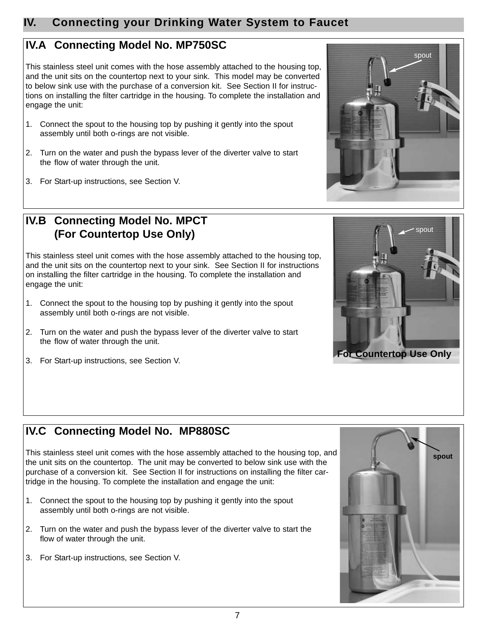# **IV. Connecting your Drinking Water System to Faucet**

# **IV.A Connecting Model No. MP750SC**

This stainless steel unit comes with the hose assembly attached to the housing top, and the unit sits on the countertop next to your sink. This model may be converted to below sink use with the purchase of a conversion kit. See Section II for instructions on installing the filter cartridge in the housing. To complete the installation and engage the unit:

- 1. Connect the spout to the housing top by pushing it gently into the spout assembly until both o-rings are not visible.
- 2. Turn on the water and push the bypass lever of the diverter valve to start the flow of water through the unit.
- 3. For Start-up instructions, see Section V.



This stainless steel unit comes with the hose assembly attached to the housing top, and the unit sits on the countertop next to your sink. See Section II for instructions on installing the filter cartridge in the housing. To complete the installation and engage the unit:

- 1. Connect the spout to the housing top by pushing it gently into the spout assembly until both o-rings are not visible.
- 2. Turn on the water and push the bypass lever of the diverter valve to start the flow of water through the unit.





3. For Start-up instructions, see Section V.

# **IV.C Connecting Model No. MP880SC**

This stainless steel unit comes with the hose assembly attached to the housing top, and the unit sits on the countertop. The unit may be converted to below sink use with the purchase of a conversion kit. See Section II for instructions on installing the filter cartridge in the housing. To complete the installation and engage the unit:

- 1. Connect the spout to the housing top by pushing it gently into the spout assembly until both o-rings are not visible.
- 2. Turn on the water and push the bypass lever of the diverter valve to start the flow of water through the unit.
- 3. For Start-up instructions, see Section V.

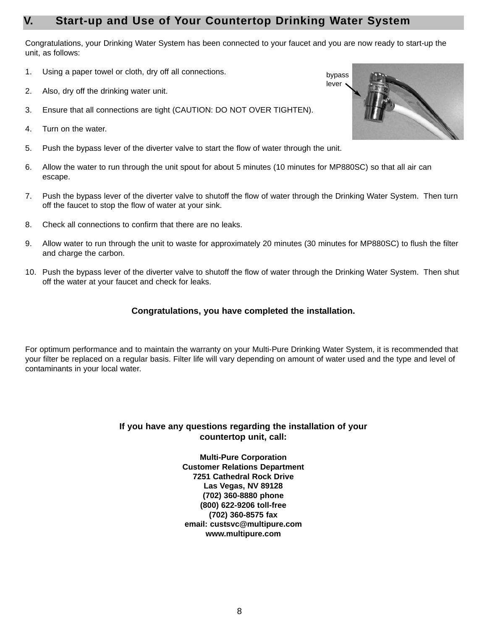# **V. Start-up and Use of Your Countertop Drinking Water System**

Congratulations, your Drinking Water System has been connected to your faucet and you are now ready to start-up the unit, as follows:

- 1. Using a paper towel or cloth, dry off all connections.
- 2. Also, dry off the drinking water unit.
- 3. Ensure that all connections are tight (CAUTION: DO NOT OVER TIGHTEN).
- 4. Turn on the water.
- 5. Push the bypass lever of the diverter valve to start the flow of water through the unit.
- 6. Allow the water to run through the unit spout for about 5 minutes (10 minutes for MP880SC) so that all air can escape.
- 7. Push the bypass lever of the diverter valve to shutoff the flow of water through the Drinking Water System. Then turn off the faucet to stop the flow of water at your sink.
- 8. Check all connections to confirm that there are no leaks.
- 9. Allow water to run through the unit to waste for approximately 20 minutes (30 minutes for MP880SC) to flush the filter and charge the carbon.
- 10. Push the bypass lever of the diverter valve to shutoff the flow of water through the Drinking Water System. Then shut off the water at your faucet and check for leaks.

### **Congratulations, you have completed the installation.**

For optimum performance and to maintain the warranty on your Multi-Pure Drinking Water System, it is recommended that your filter be replaced on a regular basis. Filter life will vary depending on amount of water used and the type and level of contaminants in your local water.

### **If you have any questions regarding the installation of your countertop unit, call:**

**Multi-Pure Corporation Customer Relations Department 7251 Cathedral Rock Drive Las Vegas, NV 89128 (702) 360-8880 phone (800) 622-9206 toll-free (702) 360-8575 fax email: custsvc@multipure.com www.multipure.com**

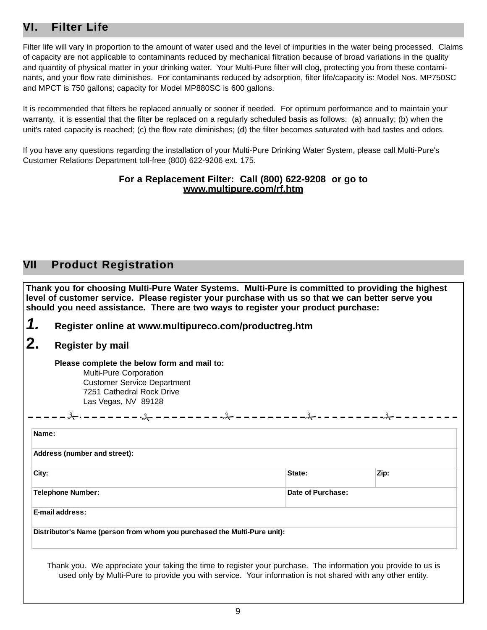# **VI. Filter Life**

Filter life will vary in proportion to the amount of water used and the level of impurities in the water being processed. Claims of capacity are not applicable to contaminants reduced by mechanical filtration because of broad variations in the quality and quantity of physical matter in your drinking water. Your Multi-Pure filter will clog, protecting you from these contaminants, and your flow rate diminishes. For contaminants reduced by adsorption, filter life/capacity is: Model Nos. MP750SC and MPCT is 750 gallons; capacity for Model MP880SC is 600 gallons.

It is recommended that filters be replaced annually or sooner if needed. For optimum performance and to maintain your warranty, it is essential that the filter be replaced on a regularly scheduled basis as follows: (a) annually; (b) when the unit's rated capacity is reached; (c) the flow rate diminishes; (d) the filter becomes saturated with bad tastes and odors.

If you have any questions regarding the installation of your Multi-Pure Drinking Water System, please call Multi-Pure's Customer Relations Department toll-free (800) 622-9206 ext. 175.

### **For a Replacement Filter: Call (800) 622-9208 or go to www.multipure.com/rf.htm**

### **VII Product Registration**

**Thank you for choosing Multi-Pure Water Systems. Multi-Pure is committed to providing the highest level of customer service. Please register your purchase with us so that we can better serve you should you need assistance. There are two ways to register your product purchase:**

*1.* **Register online at www.multipureco.com/productreg.htm**

# **2. Register by mail**

**Please complete the below form and mail to:**  Multi-Pure Corporation Customer Service Department 7251 Cathedral Rock Drive Las Vegas, NV 89128

| Name:                                                                    |                   |      |
|--------------------------------------------------------------------------|-------------------|------|
| Address (number and street):                                             |                   |      |
| City:                                                                    | State:            | Zip: |
| <b>Telephone Number:</b>                                                 | Date of Purchase: |      |
| <b>E-mail address:</b>                                                   |                   |      |
| Distributor's Name (person from whom you purchased the Multi-Pure unit): |                   |      |

Thank you. We appreciate your taking the time to register your purchase. The information you provide to us is used only by Multi-Pure to provide you with service. Your information is not shared with any other entity.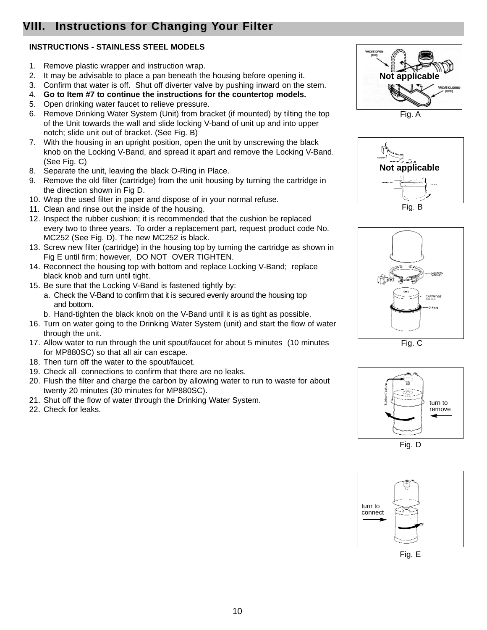# **VIII. Instructions for Changing Your Filter**

### **INSTRUCTIONS - STAINLESS STEEL MODELS**

- 1. Remove plastic wrapper and instruction wrap.
- 2. It may be advisable to place a pan beneath the housing before opening it.
- 3. Confirm that water is off. Shut off diverter valve by pushing inward on the stem.
- 4. **Go to Item #7 to continue the instructions for the countertop models.**
- 5. Open drinking water faucet to relieve pressure.
- 6. Remove Drinking Water System (Unit) from bracket (if mounted) by tilting the top of the Unit towards the wall and slide locking V-band of unit up and into upper notch; slide unit out of bracket. (See Fig. B)
- 7. With the housing in an upright position, open the unit by unscrewing the black knob on the Locking V-Band, and spread it apart and remove the Locking V-Band. (See Fig. C)
- 8. Separate the unit, leaving the black O-Ring in Place.
- 9. Remove the old filter (cartridge) from the unit housing by turning the cartridge in the direction shown in Fig D.
- 10. Wrap the used filter in paper and dispose of in your normal refuse.
- 11. Clean and rinse out the inside of the housing.
- 12. Inspect the rubber cushion; it is recommended that the cushion be replaced every two to three years. To order a replacement part, request product code No. MC252 (See Fig. D). The new MC252 is black.
- 13. Screw new filter (cartridge) in the housing top by turning the cartridge as shown in Fig E until firm; however, DO NOT OVER TIGHTEN.
- 14. Reconnect the housing top with bottom and replace Locking V-Band; replace black knob and turn until tight.
- 15. Be sure that the Locking V-Band is fastened tightly by:
	- a. Check the V-Band to confirm that it is secured evenly around the housing top and bottom.
	- b. Hand-tighten the black knob on the V-Band until it is as tight as possible.
- 16. Turn on water going to the Drinking Water System (unit) and start the flow of water through the unit.
- 17. Allow water to run through the unit spout/faucet for about 5 minutes (10 minutes for MP880SC) so that all air can escape.
- 18. Then turn off the water to the spout/faucet.
- 19. Check all connections to confirm that there are no leaks.
- 20. Flush the filter and charge the carbon by allowing water to run to waste for about twenty 20 minutes (30 minutes for MP880SC).
- 21. Shut off the flow of water through the Drinking Water System.
- 22. Check for leaks.









Fig. C



Fig. D



Fig. E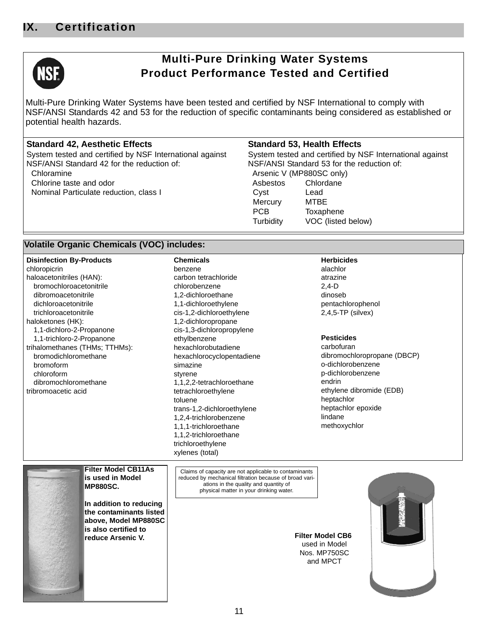

# **Multi-Pure Drinking Water Systems Product Performance Tested and Certified**

Multi-Pure Drinking Water Systems have been tested and certified by NSF International to comply with NSF/ANSI Standards 42 and 53 for the reduction of specific contaminants being considered as established or potential health hazards.

### **Standard 42, Aesthetic Effects**

System tested and certified by NSF International against NSF/ANSI Standard 42 for the reduction of: Chloramine

Chlorine taste and odor Nominal Particulate reduction, class I

### **Standard 53, Health Effects**

System tested and certified by NSF International against NSF/ANSI Standard 53 for the reduction of: Arsenic V (MP880SC only) Asbestos Chlordane Cyst Lead Mercury MTBE PCB Toxaphene Turbidity VOC (listed below)

### **Volatile Organic Chemicals (VOC) includes:**

| <b>Disinfection By-Products</b>                                   | <b>Chemicals</b>                                                                                                                                                                                     | <b>Herbicides</b>           |
|-------------------------------------------------------------------|------------------------------------------------------------------------------------------------------------------------------------------------------------------------------------------------------|-----------------------------|
| chloropicrin                                                      | benzene                                                                                                                                                                                              | alachlor                    |
| haloacetonitriles (HAN):                                          | carbon tetrachloride                                                                                                                                                                                 | atrazine                    |
| bromochloroacetonitrile                                           | chlorobenzene                                                                                                                                                                                        | $2,4-D$                     |
| dibromoacetonitrile                                               | 1,2-dichloroethane                                                                                                                                                                                   | dinoseb                     |
| dichloroacetonitrile                                              | 1,1-dichloroethylene                                                                                                                                                                                 | pentachlorophenol           |
| trichloroacetonitrile                                             | cis-1,2-dichloroethylene                                                                                                                                                                             | $2,4,5$ -TP (silvex)        |
| haloketones (HK):                                                 | 1,2-dichloropropane                                                                                                                                                                                  |                             |
| 1,1-dichloro-2-Propanone                                          | cis-1,3-dichloropropylene                                                                                                                                                                            |                             |
| 1,1-trichloro-2-Propanone                                         | ethylbenzene                                                                                                                                                                                         | <b>Pesticides</b>           |
| trihalomethanes (THMs; TTHMs):                                    | hexachlorobutadiene                                                                                                                                                                                  | carbofuran                  |
| bromodichloromethane                                              | hexachlorocyclopentadiene                                                                                                                                                                            | dibromochloropropane (DBCP) |
| bromoform                                                         | simazine                                                                                                                                                                                             | o-dichlorobenzene           |
| chloroform                                                        | styrene                                                                                                                                                                                              | p-dichlorobenzene           |
| dibromochloromethane                                              | 1,1,2,2-tetrachloroethane                                                                                                                                                                            | endrin                      |
| tribromoacetic acid                                               | tetrachloroethylene                                                                                                                                                                                  | ethylene dibromide (EDB)    |
|                                                                   | toluene                                                                                                                                                                                              | heptachlor                  |
|                                                                   | trans-1,2-dichloroethylene                                                                                                                                                                           | heptachlor epoxide          |
|                                                                   | 1,2,4-trichlorobenzene                                                                                                                                                                               | lindane                     |
|                                                                   | 1,1,1-trichloroethane                                                                                                                                                                                | methoxychlor                |
|                                                                   | 1,1,2-trichloroethane                                                                                                                                                                                |                             |
|                                                                   | trichloroethylene                                                                                                                                                                                    |                             |
|                                                                   | xylenes (total)                                                                                                                                                                                      |                             |
|                                                                   |                                                                                                                                                                                                      |                             |
| <b>Filter Model CB11As</b><br>is used in Model<br><b>MP880SC.</b> | Claims of capacity are not applicable to contaminants<br>reduced by mechanical filtration because of broad vari-<br>ations in the quality and quantity of<br>physical matter in your drinking water. |                             |
|                                                                   |                                                                                                                                                                                                      |                             |
| In addition to reducing                                           |                                                                                                                                                                                                      |                             |
| the contaminants listed                                           |                                                                                                                                                                                                      |                             |
| above, Model MP880SC                                              |                                                                                                                                                                                                      |                             |
| is also certified to                                              |                                                                                                                                                                                                      |                             |
| <b>reduce Arsenic V.</b>                                          |                                                                                                                                                                                                      | <b>Filter Model CB6</b>     |
|                                                                   |                                                                                                                                                                                                      | used in Model               |
|                                                                   |                                                                                                                                                                                                      | Nos. MP750SC                |
|                                                                   |                                                                                                                                                                                                      | and MPCT                    |
|                                                                   |                                                                                                                                                                                                      |                             |
|                                                                   |                                                                                                                                                                                                      |                             |
|                                                                   |                                                                                                                                                                                                      |                             |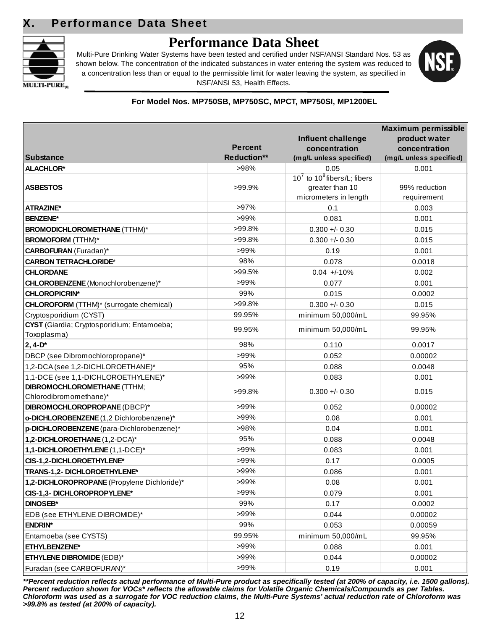

# **Performance Data Sheet**

Multi-Pure Drinking Water Systems have been tested and certified under NSF/ANSI Standard Nos. 53 as shown below. The concentration of the indicated substances in water entering the system was reduced to a concentration less than or equal to the permissible limit for water leaving the system, as specified in NSF/ANSI 53, Health Effects.



### **For Model Nos. MP750SB, MP750SC, MPCT, MP750SI, MP1200EL**

|                                                |                    |                                   | Maximum permissible     |
|------------------------------------------------|--------------------|-----------------------------------|-------------------------|
|                                                |                    | Influent challenge                | product water           |
|                                                | <b>Percent</b>     | concentration                     | concentration           |
| <b>Substance</b>                               | <b>Reduction**</b> | (mg/L unless specified)           | (mg/L unless specified) |
| <b>ALACHLOR*</b>                               | >98%               | 0.05                              | 0.001                   |
|                                                |                    | $10^7$ to $10^8$ fibers/L; fibers |                         |
| <b>ASBESTOS</b>                                | >99.9%             | greater than 10                   | 99% reduction           |
|                                                |                    | micrometers in length             | requirement             |
| <b>ATRAZINE*</b>                               | $>97\%$            | 0.1                               | 0.003                   |
| <b>BENZENE*</b>                                | >99%               | 0.081                             | 0.001                   |
| <b>BROMODICHLOROMETHANE (TTHM)*</b>            | >99.8%             | $0.300 +/- 0.30$                  | 0.015                   |
| <b>BROMOFORM</b> (TTHM)*                       | >99.8%             | $0.300 +/- 0.30$                  | 0.015                   |
| <b>CARBOFURAN</b> (Furadan)*                   | >99%               | 0.19                              | 0.001                   |
| <b>CARBON TETRACHLORIDE*</b>                   | 98%                | 0.078                             | 0.0018                  |
| <b>CHLORDANE</b>                               | $>99.5\%$          | $0.04 +10%$                       | 0.002                   |
| CHLOROBENZENE (Monochlorobenzene)*             | >99%               | 0.077                             | 0.001                   |
| <b>CHLOROPICRIN*</b>                           | 99%                | 0.015                             | 0.0002                  |
| <b>CHLOROFORM</b> (TTHM)* (surrogate chemical) | >99.8%             | $0.300 + 0.30$                    | 0.015                   |
| Cryptosporidium (CYST)                         | 99.95%             | minimum 50,000/mL                 | 99.95%                  |
| CYST (Giardia; Cryptosporidium; Entamoeba;     | 99.95%             | minimum 50,000/mL                 | 99.95%                  |
| Toxoplasma)                                    |                    |                                   |                         |
| $2, 4-D*$                                      | 98%                | 0.110                             | 0.0017                  |
| DBCP (see Dibromochloropropane)*               | >99%               | 0.052                             | 0.00002                 |
| 1,2-DCA (see 1,2-DICHLOROETHANE)*              | 95%                | 0.088                             | 0.0048                  |
| 1,1-DCE (see 1,1-DICHLOROETHYLENE)*            | >99%               | 0.083                             | 0.001                   |
| <b>DIBROMOCHLOROMETHANE (TTHM;</b>             | >99.8%             | $0.300 + 0.30$                    | 0.015                   |
| Chlorodibromomethane)*                         |                    |                                   |                         |
| DIBROMOCHLOROPROPANE (DBCP)*                   | >99%               | 0.052                             | 0.00002                 |
| o-DICHLOROBENZENE (1,2 Dichlorobenzene)*       | >99%               | 0.08                              | 0.001                   |
| p-DICHLOROBENZENE (para-Dichlorobenzene)*      | >98%               | 0.04                              | 0.001                   |
| 1,2-DICHLOROETHANE (1,2-DCA)*                  | 95%                | 0.088                             | 0.0048                  |
| 1,1-DICHLOROETHYLENE (1,1-DCE)*                | >99%               | 0.083                             | 0.001                   |
| CIS-1,2-DICHLOROETHYLENE*                      | >99%               | 0.17                              | 0.0005                  |
| TRANS-1,2- DICHLOROETHYLENE*                   | >99%               | 0.086                             | 0.001                   |
| 1,2-DICHLOROPROPANE (Propylene Dichloride)*    | >99%               | 0.08                              | 0.001                   |
| CIS-1,3- DICHLOROPROPYLENE*                    | >99%               | 0.079                             | 0.001                   |
| <b>DINOSEB*</b>                                | 99%                | 0.17                              | 0.0002                  |
| EDB (see ETHYLENE DIBROMIDE)*                  | >99%               | 0.044                             | 0.00002                 |
| <b>ENDRIN*</b>                                 | 99%                | 0.053                             | 0.00059                 |
| Entamoeba (see CYSTS)                          | 99.95%             | minimum 50,000/mL                 | 99.95%                  |
| ETHYLBENZENE*                                  | $>99\%$            | 0.088                             | 0.001                   |
| <b>ETHYLENE DIBROMIDE (EDB)*</b>               | >99%               | 0.044                             | 0.00002                 |
| Furadan (see CARBOFURAN)*                      | >99%               | 0.19                              | 0.001                   |
|                                                |                    |                                   |                         |

*\*\*Percent reduction reflects actual performance of Multi-Pure product as specifically tested (at 200% of capacity, i.e. 1500 gallons). Percent reduction shown for VOCs\* reflects the allowable claims for Volatile Organic Chemicals/Compounds as per Tables. Chloroform was used as a surrogate for VOC reduction claims, the Multi-Pure Systems' actual reduction rate of Chloroform was >99.8% as tested (at 200% of capacity).*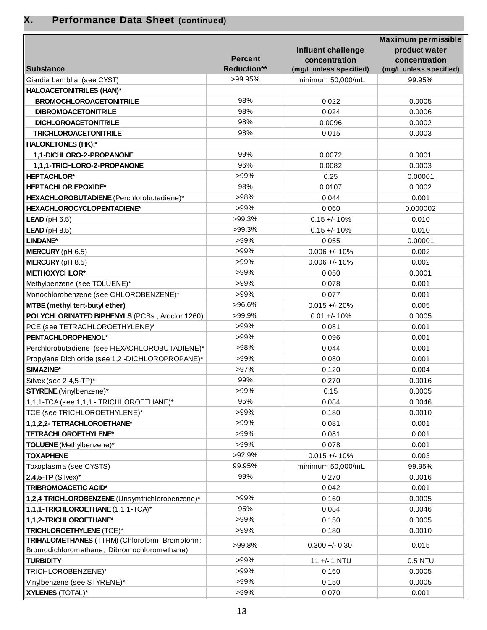| <b>Percent</b><br>concentration<br>concentration<br>Reduction**<br><b>Substance</b><br>(mg/L unless specified)<br>(mg/L unless specified)<br>>99.95%<br>Giardia Lamblia (see CYST)<br>minimum 50,000/mL<br>99.95%<br><b>HALOACETONITRILES (HAN)*</b><br>98%<br><b>BROMOCHLOROACETONITRILE</b><br>0.022<br>0.0005<br>98%<br><b>DIBROMOACETONITRILE</b><br>0.024<br>0.0006<br>98%<br>0.0002<br><b>DICHLOROACETONITRILE</b><br>0.0096<br>98%<br>0.015<br>0.0003<br><b>TRICHLOROACETONITRILE</b><br><b>HALOKETONES (HK):*</b><br>99%<br>1,1-DICHLORO-2-PROPANONE<br>0.0072<br>0.0001<br>96%<br>0.0003<br>1,1,1-TRICHLORO-2-PROPANONE<br>0.0082<br>>99%<br><b>HEPTACHLOR*</b><br>0.25<br>0.00001<br>98%<br><b>HEPTACHLOR EPOXIDE*</b><br>0.0107<br>0.0002<br>>98%<br>HEXACHLOROBUTADIENE (Perchlorobutadiene)*<br>0.044<br>0.001<br>>99%<br>0.060<br>HEXACHLOROCYCLOPENTADIENE*<br>0.000002<br>$>99.3\%$<br>$0.15 +/- 10%$<br><b>LEAD</b> ( $pH$ 6.5)<br>0.010<br>$>99.3\%$<br>$LEAD$ (pH 8.5)<br>$0.15 +/- 10%$<br>0.010<br>>99%<br>LINDANE*<br>0.055<br>0.00001<br>>99%<br>$0.006 +/- 10%$<br>MERCURY (pH 6.5)<br>0.002<br>>99%<br>MERCURY (pH 8.5)<br>$0.006 + 10%$<br>0.002<br>>99%<br><b>METHOXYCHLOR*</b><br>0.050<br>0.0001<br>>99%<br>Methylbenzene (see TOLUENE)*<br>0.078<br>0.001<br>>99%<br>Monochlorobenzene (see CHLOROBENZENE)*<br>0.077<br>0.001<br>>96.6%<br>MTBE (methyl tert-butyl ether)<br>$0.015 + - 20%$<br>0.005<br>>99.9%<br>POLYCHLORINATED BIPHENYLS (PCBs, Aroclor 1260)<br>$0.01 +/- 10%$<br>0.0005<br>>99%<br>PCE (see TETRACHLOROETHYLENE)*<br>0.081<br>0.001<br>>99%<br>PENTACHLOROPHENOL*<br>0.096<br>0.001<br>>98%<br>Perchlorobutadiene (see HEXACHLOROBUTADIENE)*<br>0.044<br>0.001<br>>99%<br>Propylene Dichloride (see 1,2 -DICHLOROPROPANE)*<br>0.080<br>0.001<br>>97%<br>SIMAZINE*<br>0.120<br>0.004<br>99%<br>0.270<br>0.0016<br>Silvex (see 2,4,5-TP)*<br>>99%<br>0.15<br>0.0005<br>STYRENE (Vinylbenzene)*<br>95%<br>1,1,1-TCA (see 1,1,1 - TRICHLOROETHANE)*<br>0.084<br>0.0046<br>>99%<br>TCE (see TRICHLOROETHYLENE)*<br>0.180<br>0.0010<br>>99%<br>1,1,2,2- TETRACHLOROETHANE*<br>0.081<br>0.001<br>>99%<br><b>TETRACHLOROETHYLENE*</b><br>0.081<br>0.001<br>>99%<br>TOLUENE (Methylbenzene)*<br>0.078<br>0.001<br>>92.9%<br><b>TOXAPHENE</b><br>$0.015 +/- 10%$<br>0.003<br>99.95%<br>Toxoplasma (see CYSTS)<br>minimum 50,000/mL<br>99.95%<br>99%<br>$2,4,5$ -TP (Silvex)*<br>0.270<br>0.0016<br><b>TRIBROMOACETIC ACID*</b><br>0.042<br>0.001<br>>99%<br>1,2,4 TRICHLOROBENZENE (Unsymtrichlorobenzene)*<br>0.160<br>0.0005<br>95%<br>1,1,1-TRICHLOROETHANE (1,1,1-TCA)*<br>0.084<br>0.0046<br>>99%<br>1,1,2-TRICHLOROETHANE*<br>0.150<br>0.0005<br>>99%<br>TRICHLOROETHYLENE (TCE)*<br>0.180<br>0.0010<br>TRIHALOMETHANES (TTHM) (Chloroform; Bromoform;<br>$0.300 + 0.30$<br>>99.8%<br>0.015<br>Bromodichloromethane; Dibromochloromethane)<br>>99%<br><b>TURBIDITY</b><br>11 +/- 1 NTU<br>0.5 NTU<br>>99%<br>TRICHLOROBENZENE)*<br>0.160<br>0.0005<br>>99%<br>Vinylbenzene (see STYRENE)*<br>0.150<br>0.0005<br>>99%<br><b>XYLENES (TOTAL)*</b><br>0.070<br>0.001 |  |                           | Maximum permissible |
|-------------------------------------------------------------------------------------------------------------------------------------------------------------------------------------------------------------------------------------------------------------------------------------------------------------------------------------------------------------------------------------------------------------------------------------------------------------------------------------------------------------------------------------------------------------------------------------------------------------------------------------------------------------------------------------------------------------------------------------------------------------------------------------------------------------------------------------------------------------------------------------------------------------------------------------------------------------------------------------------------------------------------------------------------------------------------------------------------------------------------------------------------------------------------------------------------------------------------------------------------------------------------------------------------------------------------------------------------------------------------------------------------------------------------------------------------------------------------------------------------------------------------------------------------------------------------------------------------------------------------------------------------------------------------------------------------------------------------------------------------------------------------------------------------------------------------------------------------------------------------------------------------------------------------------------------------------------------------------------------------------------------------------------------------------------------------------------------------------------------------------------------------------------------------------------------------------------------------------------------------------------------------------------------------------------------------------------------------------------------------------------------------------------------------------------------------------------------------------------------------------------------------------------------------------------------------------------------------------------------------------------------------------------------------------------------------------------------------------------------------------------------------------------------------------------------------------------------------------------------------------------------------------------------------------------------------------------------------------------------------------------------------------------------------------------------------------------------------------------------|--|---------------------------|---------------------|
|                                                                                                                                                                                                                                                                                                                                                                                                                                                                                                                                                                                                                                                                                                                                                                                                                                                                                                                                                                                                                                                                                                                                                                                                                                                                                                                                                                                                                                                                                                                                                                                                                                                                                                                                                                                                                                                                                                                                                                                                                                                                                                                                                                                                                                                                                                                                                                                                                                                                                                                                                                                                                                                                                                                                                                                                                                                                                                                                                                                                                                                                                                                   |  | <b>Influent challenge</b> | product water       |
|                                                                                                                                                                                                                                                                                                                                                                                                                                                                                                                                                                                                                                                                                                                                                                                                                                                                                                                                                                                                                                                                                                                                                                                                                                                                                                                                                                                                                                                                                                                                                                                                                                                                                                                                                                                                                                                                                                                                                                                                                                                                                                                                                                                                                                                                                                                                                                                                                                                                                                                                                                                                                                                                                                                                                                                                                                                                                                                                                                                                                                                                                                                   |  |                           |                     |
|                                                                                                                                                                                                                                                                                                                                                                                                                                                                                                                                                                                                                                                                                                                                                                                                                                                                                                                                                                                                                                                                                                                                                                                                                                                                                                                                                                                                                                                                                                                                                                                                                                                                                                                                                                                                                                                                                                                                                                                                                                                                                                                                                                                                                                                                                                                                                                                                                                                                                                                                                                                                                                                                                                                                                                                                                                                                                                                                                                                                                                                                                                                   |  |                           |                     |
|                                                                                                                                                                                                                                                                                                                                                                                                                                                                                                                                                                                                                                                                                                                                                                                                                                                                                                                                                                                                                                                                                                                                                                                                                                                                                                                                                                                                                                                                                                                                                                                                                                                                                                                                                                                                                                                                                                                                                                                                                                                                                                                                                                                                                                                                                                                                                                                                                                                                                                                                                                                                                                                                                                                                                                                                                                                                                                                                                                                                                                                                                                                   |  |                           |                     |
|                                                                                                                                                                                                                                                                                                                                                                                                                                                                                                                                                                                                                                                                                                                                                                                                                                                                                                                                                                                                                                                                                                                                                                                                                                                                                                                                                                                                                                                                                                                                                                                                                                                                                                                                                                                                                                                                                                                                                                                                                                                                                                                                                                                                                                                                                                                                                                                                                                                                                                                                                                                                                                                                                                                                                                                                                                                                                                                                                                                                                                                                                                                   |  |                           |                     |
|                                                                                                                                                                                                                                                                                                                                                                                                                                                                                                                                                                                                                                                                                                                                                                                                                                                                                                                                                                                                                                                                                                                                                                                                                                                                                                                                                                                                                                                                                                                                                                                                                                                                                                                                                                                                                                                                                                                                                                                                                                                                                                                                                                                                                                                                                                                                                                                                                                                                                                                                                                                                                                                                                                                                                                                                                                                                                                                                                                                                                                                                                                                   |  |                           |                     |
|                                                                                                                                                                                                                                                                                                                                                                                                                                                                                                                                                                                                                                                                                                                                                                                                                                                                                                                                                                                                                                                                                                                                                                                                                                                                                                                                                                                                                                                                                                                                                                                                                                                                                                                                                                                                                                                                                                                                                                                                                                                                                                                                                                                                                                                                                                                                                                                                                                                                                                                                                                                                                                                                                                                                                                                                                                                                                                                                                                                                                                                                                                                   |  |                           |                     |
|                                                                                                                                                                                                                                                                                                                                                                                                                                                                                                                                                                                                                                                                                                                                                                                                                                                                                                                                                                                                                                                                                                                                                                                                                                                                                                                                                                                                                                                                                                                                                                                                                                                                                                                                                                                                                                                                                                                                                                                                                                                                                                                                                                                                                                                                                                                                                                                                                                                                                                                                                                                                                                                                                                                                                                                                                                                                                                                                                                                                                                                                                                                   |  |                           |                     |
|                                                                                                                                                                                                                                                                                                                                                                                                                                                                                                                                                                                                                                                                                                                                                                                                                                                                                                                                                                                                                                                                                                                                                                                                                                                                                                                                                                                                                                                                                                                                                                                                                                                                                                                                                                                                                                                                                                                                                                                                                                                                                                                                                                                                                                                                                                                                                                                                                                                                                                                                                                                                                                                                                                                                                                                                                                                                                                                                                                                                                                                                                                                   |  |                           |                     |
|                                                                                                                                                                                                                                                                                                                                                                                                                                                                                                                                                                                                                                                                                                                                                                                                                                                                                                                                                                                                                                                                                                                                                                                                                                                                                                                                                                                                                                                                                                                                                                                                                                                                                                                                                                                                                                                                                                                                                                                                                                                                                                                                                                                                                                                                                                                                                                                                                                                                                                                                                                                                                                                                                                                                                                                                                                                                                                                                                                                                                                                                                                                   |  |                           |                     |
|                                                                                                                                                                                                                                                                                                                                                                                                                                                                                                                                                                                                                                                                                                                                                                                                                                                                                                                                                                                                                                                                                                                                                                                                                                                                                                                                                                                                                                                                                                                                                                                                                                                                                                                                                                                                                                                                                                                                                                                                                                                                                                                                                                                                                                                                                                                                                                                                                                                                                                                                                                                                                                                                                                                                                                                                                                                                                                                                                                                                                                                                                                                   |  |                           |                     |
|                                                                                                                                                                                                                                                                                                                                                                                                                                                                                                                                                                                                                                                                                                                                                                                                                                                                                                                                                                                                                                                                                                                                                                                                                                                                                                                                                                                                                                                                                                                                                                                                                                                                                                                                                                                                                                                                                                                                                                                                                                                                                                                                                                                                                                                                                                                                                                                                                                                                                                                                                                                                                                                                                                                                                                                                                                                                                                                                                                                                                                                                                                                   |  |                           |                     |
|                                                                                                                                                                                                                                                                                                                                                                                                                                                                                                                                                                                                                                                                                                                                                                                                                                                                                                                                                                                                                                                                                                                                                                                                                                                                                                                                                                                                                                                                                                                                                                                                                                                                                                                                                                                                                                                                                                                                                                                                                                                                                                                                                                                                                                                                                                                                                                                                                                                                                                                                                                                                                                                                                                                                                                                                                                                                                                                                                                                                                                                                                                                   |  |                           |                     |
|                                                                                                                                                                                                                                                                                                                                                                                                                                                                                                                                                                                                                                                                                                                                                                                                                                                                                                                                                                                                                                                                                                                                                                                                                                                                                                                                                                                                                                                                                                                                                                                                                                                                                                                                                                                                                                                                                                                                                                                                                                                                                                                                                                                                                                                                                                                                                                                                                                                                                                                                                                                                                                                                                                                                                                                                                                                                                                                                                                                                                                                                                                                   |  |                           |                     |
|                                                                                                                                                                                                                                                                                                                                                                                                                                                                                                                                                                                                                                                                                                                                                                                                                                                                                                                                                                                                                                                                                                                                                                                                                                                                                                                                                                                                                                                                                                                                                                                                                                                                                                                                                                                                                                                                                                                                                                                                                                                                                                                                                                                                                                                                                                                                                                                                                                                                                                                                                                                                                                                                                                                                                                                                                                                                                                                                                                                                                                                                                                                   |  |                           |                     |
|                                                                                                                                                                                                                                                                                                                                                                                                                                                                                                                                                                                                                                                                                                                                                                                                                                                                                                                                                                                                                                                                                                                                                                                                                                                                                                                                                                                                                                                                                                                                                                                                                                                                                                                                                                                                                                                                                                                                                                                                                                                                                                                                                                                                                                                                                                                                                                                                                                                                                                                                                                                                                                                                                                                                                                                                                                                                                                                                                                                                                                                                                                                   |  |                           |                     |
|                                                                                                                                                                                                                                                                                                                                                                                                                                                                                                                                                                                                                                                                                                                                                                                                                                                                                                                                                                                                                                                                                                                                                                                                                                                                                                                                                                                                                                                                                                                                                                                                                                                                                                                                                                                                                                                                                                                                                                                                                                                                                                                                                                                                                                                                                                                                                                                                                                                                                                                                                                                                                                                                                                                                                                                                                                                                                                                                                                                                                                                                                                                   |  |                           |                     |
|                                                                                                                                                                                                                                                                                                                                                                                                                                                                                                                                                                                                                                                                                                                                                                                                                                                                                                                                                                                                                                                                                                                                                                                                                                                                                                                                                                                                                                                                                                                                                                                                                                                                                                                                                                                                                                                                                                                                                                                                                                                                                                                                                                                                                                                                                                                                                                                                                                                                                                                                                                                                                                                                                                                                                                                                                                                                                                                                                                                                                                                                                                                   |  |                           |                     |
|                                                                                                                                                                                                                                                                                                                                                                                                                                                                                                                                                                                                                                                                                                                                                                                                                                                                                                                                                                                                                                                                                                                                                                                                                                                                                                                                                                                                                                                                                                                                                                                                                                                                                                                                                                                                                                                                                                                                                                                                                                                                                                                                                                                                                                                                                                                                                                                                                                                                                                                                                                                                                                                                                                                                                                                                                                                                                                                                                                                                                                                                                                                   |  |                           |                     |
|                                                                                                                                                                                                                                                                                                                                                                                                                                                                                                                                                                                                                                                                                                                                                                                                                                                                                                                                                                                                                                                                                                                                                                                                                                                                                                                                                                                                                                                                                                                                                                                                                                                                                                                                                                                                                                                                                                                                                                                                                                                                                                                                                                                                                                                                                                                                                                                                                                                                                                                                                                                                                                                                                                                                                                                                                                                                                                                                                                                                                                                                                                                   |  |                           |                     |
|                                                                                                                                                                                                                                                                                                                                                                                                                                                                                                                                                                                                                                                                                                                                                                                                                                                                                                                                                                                                                                                                                                                                                                                                                                                                                                                                                                                                                                                                                                                                                                                                                                                                                                                                                                                                                                                                                                                                                                                                                                                                                                                                                                                                                                                                                                                                                                                                                                                                                                                                                                                                                                                                                                                                                                                                                                                                                                                                                                                                                                                                                                                   |  |                           |                     |
|                                                                                                                                                                                                                                                                                                                                                                                                                                                                                                                                                                                                                                                                                                                                                                                                                                                                                                                                                                                                                                                                                                                                                                                                                                                                                                                                                                                                                                                                                                                                                                                                                                                                                                                                                                                                                                                                                                                                                                                                                                                                                                                                                                                                                                                                                                                                                                                                                                                                                                                                                                                                                                                                                                                                                                                                                                                                                                                                                                                                                                                                                                                   |  |                           |                     |
|                                                                                                                                                                                                                                                                                                                                                                                                                                                                                                                                                                                                                                                                                                                                                                                                                                                                                                                                                                                                                                                                                                                                                                                                                                                                                                                                                                                                                                                                                                                                                                                                                                                                                                                                                                                                                                                                                                                                                                                                                                                                                                                                                                                                                                                                                                                                                                                                                                                                                                                                                                                                                                                                                                                                                                                                                                                                                                                                                                                                                                                                                                                   |  |                           |                     |
|                                                                                                                                                                                                                                                                                                                                                                                                                                                                                                                                                                                                                                                                                                                                                                                                                                                                                                                                                                                                                                                                                                                                                                                                                                                                                                                                                                                                                                                                                                                                                                                                                                                                                                                                                                                                                                                                                                                                                                                                                                                                                                                                                                                                                                                                                                                                                                                                                                                                                                                                                                                                                                                                                                                                                                                                                                                                                                                                                                                                                                                                                                                   |  |                           |                     |
|                                                                                                                                                                                                                                                                                                                                                                                                                                                                                                                                                                                                                                                                                                                                                                                                                                                                                                                                                                                                                                                                                                                                                                                                                                                                                                                                                                                                                                                                                                                                                                                                                                                                                                                                                                                                                                                                                                                                                                                                                                                                                                                                                                                                                                                                                                                                                                                                                                                                                                                                                                                                                                                                                                                                                                                                                                                                                                                                                                                                                                                                                                                   |  |                           |                     |
|                                                                                                                                                                                                                                                                                                                                                                                                                                                                                                                                                                                                                                                                                                                                                                                                                                                                                                                                                                                                                                                                                                                                                                                                                                                                                                                                                                                                                                                                                                                                                                                                                                                                                                                                                                                                                                                                                                                                                                                                                                                                                                                                                                                                                                                                                                                                                                                                                                                                                                                                                                                                                                                                                                                                                                                                                                                                                                                                                                                                                                                                                                                   |  |                           |                     |
|                                                                                                                                                                                                                                                                                                                                                                                                                                                                                                                                                                                                                                                                                                                                                                                                                                                                                                                                                                                                                                                                                                                                                                                                                                                                                                                                                                                                                                                                                                                                                                                                                                                                                                                                                                                                                                                                                                                                                                                                                                                                                                                                                                                                                                                                                                                                                                                                                                                                                                                                                                                                                                                                                                                                                                                                                                                                                                                                                                                                                                                                                                                   |  |                           |                     |
|                                                                                                                                                                                                                                                                                                                                                                                                                                                                                                                                                                                                                                                                                                                                                                                                                                                                                                                                                                                                                                                                                                                                                                                                                                                                                                                                                                                                                                                                                                                                                                                                                                                                                                                                                                                                                                                                                                                                                                                                                                                                                                                                                                                                                                                                                                                                                                                                                                                                                                                                                                                                                                                                                                                                                                                                                                                                                                                                                                                                                                                                                                                   |  |                           |                     |
|                                                                                                                                                                                                                                                                                                                                                                                                                                                                                                                                                                                                                                                                                                                                                                                                                                                                                                                                                                                                                                                                                                                                                                                                                                                                                                                                                                                                                                                                                                                                                                                                                                                                                                                                                                                                                                                                                                                                                                                                                                                                                                                                                                                                                                                                                                                                                                                                                                                                                                                                                                                                                                                                                                                                                                                                                                                                                                                                                                                                                                                                                                                   |  |                           |                     |
|                                                                                                                                                                                                                                                                                                                                                                                                                                                                                                                                                                                                                                                                                                                                                                                                                                                                                                                                                                                                                                                                                                                                                                                                                                                                                                                                                                                                                                                                                                                                                                                                                                                                                                                                                                                                                                                                                                                                                                                                                                                                                                                                                                                                                                                                                                                                                                                                                                                                                                                                                                                                                                                                                                                                                                                                                                                                                                                                                                                                                                                                                                                   |  |                           |                     |
|                                                                                                                                                                                                                                                                                                                                                                                                                                                                                                                                                                                                                                                                                                                                                                                                                                                                                                                                                                                                                                                                                                                                                                                                                                                                                                                                                                                                                                                                                                                                                                                                                                                                                                                                                                                                                                                                                                                                                                                                                                                                                                                                                                                                                                                                                                                                                                                                                                                                                                                                                                                                                                                                                                                                                                                                                                                                                                                                                                                                                                                                                                                   |  |                           |                     |
|                                                                                                                                                                                                                                                                                                                                                                                                                                                                                                                                                                                                                                                                                                                                                                                                                                                                                                                                                                                                                                                                                                                                                                                                                                                                                                                                                                                                                                                                                                                                                                                                                                                                                                                                                                                                                                                                                                                                                                                                                                                                                                                                                                                                                                                                                                                                                                                                                                                                                                                                                                                                                                                                                                                                                                                                                                                                                                                                                                                                                                                                                                                   |  |                           |                     |
|                                                                                                                                                                                                                                                                                                                                                                                                                                                                                                                                                                                                                                                                                                                                                                                                                                                                                                                                                                                                                                                                                                                                                                                                                                                                                                                                                                                                                                                                                                                                                                                                                                                                                                                                                                                                                                                                                                                                                                                                                                                                                                                                                                                                                                                                                                                                                                                                                                                                                                                                                                                                                                                                                                                                                                                                                                                                                                                                                                                                                                                                                                                   |  |                           |                     |
|                                                                                                                                                                                                                                                                                                                                                                                                                                                                                                                                                                                                                                                                                                                                                                                                                                                                                                                                                                                                                                                                                                                                                                                                                                                                                                                                                                                                                                                                                                                                                                                                                                                                                                                                                                                                                                                                                                                                                                                                                                                                                                                                                                                                                                                                                                                                                                                                                                                                                                                                                                                                                                                                                                                                                                                                                                                                                                                                                                                                                                                                                                                   |  |                           |                     |
|                                                                                                                                                                                                                                                                                                                                                                                                                                                                                                                                                                                                                                                                                                                                                                                                                                                                                                                                                                                                                                                                                                                                                                                                                                                                                                                                                                                                                                                                                                                                                                                                                                                                                                                                                                                                                                                                                                                                                                                                                                                                                                                                                                                                                                                                                                                                                                                                                                                                                                                                                                                                                                                                                                                                                                                                                                                                                                                                                                                                                                                                                                                   |  |                           |                     |
|                                                                                                                                                                                                                                                                                                                                                                                                                                                                                                                                                                                                                                                                                                                                                                                                                                                                                                                                                                                                                                                                                                                                                                                                                                                                                                                                                                                                                                                                                                                                                                                                                                                                                                                                                                                                                                                                                                                                                                                                                                                                                                                                                                                                                                                                                                                                                                                                                                                                                                                                                                                                                                                                                                                                                                                                                                                                                                                                                                                                                                                                                                                   |  |                           |                     |
|                                                                                                                                                                                                                                                                                                                                                                                                                                                                                                                                                                                                                                                                                                                                                                                                                                                                                                                                                                                                                                                                                                                                                                                                                                                                                                                                                                                                                                                                                                                                                                                                                                                                                                                                                                                                                                                                                                                                                                                                                                                                                                                                                                                                                                                                                                                                                                                                                                                                                                                                                                                                                                                                                                                                                                                                                                                                                                                                                                                                                                                                                                                   |  |                           |                     |
|                                                                                                                                                                                                                                                                                                                                                                                                                                                                                                                                                                                                                                                                                                                                                                                                                                                                                                                                                                                                                                                                                                                                                                                                                                                                                                                                                                                                                                                                                                                                                                                                                                                                                                                                                                                                                                                                                                                                                                                                                                                                                                                                                                                                                                                                                                                                                                                                                                                                                                                                                                                                                                                                                                                                                                                                                                                                                                                                                                                                                                                                                                                   |  |                           |                     |
|                                                                                                                                                                                                                                                                                                                                                                                                                                                                                                                                                                                                                                                                                                                                                                                                                                                                                                                                                                                                                                                                                                                                                                                                                                                                                                                                                                                                                                                                                                                                                                                                                                                                                                                                                                                                                                                                                                                                                                                                                                                                                                                                                                                                                                                                                                                                                                                                                                                                                                                                                                                                                                                                                                                                                                                                                                                                                                                                                                                                                                                                                                                   |  |                           |                     |
|                                                                                                                                                                                                                                                                                                                                                                                                                                                                                                                                                                                                                                                                                                                                                                                                                                                                                                                                                                                                                                                                                                                                                                                                                                                                                                                                                                                                                                                                                                                                                                                                                                                                                                                                                                                                                                                                                                                                                                                                                                                                                                                                                                                                                                                                                                                                                                                                                                                                                                                                                                                                                                                                                                                                                                                                                                                                                                                                                                                                                                                                                                                   |  |                           |                     |
|                                                                                                                                                                                                                                                                                                                                                                                                                                                                                                                                                                                                                                                                                                                                                                                                                                                                                                                                                                                                                                                                                                                                                                                                                                                                                                                                                                                                                                                                                                                                                                                                                                                                                                                                                                                                                                                                                                                                                                                                                                                                                                                                                                                                                                                                                                                                                                                                                                                                                                                                                                                                                                                                                                                                                                                                                                                                                                                                                                                                                                                                                                                   |  |                           |                     |
|                                                                                                                                                                                                                                                                                                                                                                                                                                                                                                                                                                                                                                                                                                                                                                                                                                                                                                                                                                                                                                                                                                                                                                                                                                                                                                                                                                                                                                                                                                                                                                                                                                                                                                                                                                                                                                                                                                                                                                                                                                                                                                                                                                                                                                                                                                                                                                                                                                                                                                                                                                                                                                                                                                                                                                                                                                                                                                                                                                                                                                                                                                                   |  |                           |                     |
|                                                                                                                                                                                                                                                                                                                                                                                                                                                                                                                                                                                                                                                                                                                                                                                                                                                                                                                                                                                                                                                                                                                                                                                                                                                                                                                                                                                                                                                                                                                                                                                                                                                                                                                                                                                                                                                                                                                                                                                                                                                                                                                                                                                                                                                                                                                                                                                                                                                                                                                                                                                                                                                                                                                                                                                                                                                                                                                                                                                                                                                                                                                   |  |                           |                     |
|                                                                                                                                                                                                                                                                                                                                                                                                                                                                                                                                                                                                                                                                                                                                                                                                                                                                                                                                                                                                                                                                                                                                                                                                                                                                                                                                                                                                                                                                                                                                                                                                                                                                                                                                                                                                                                                                                                                                                                                                                                                                                                                                                                                                                                                                                                                                                                                                                                                                                                                                                                                                                                                                                                                                                                                                                                                                                                                                                                                                                                                                                                                   |  |                           |                     |
|                                                                                                                                                                                                                                                                                                                                                                                                                                                                                                                                                                                                                                                                                                                                                                                                                                                                                                                                                                                                                                                                                                                                                                                                                                                                                                                                                                                                                                                                                                                                                                                                                                                                                                                                                                                                                                                                                                                                                                                                                                                                                                                                                                                                                                                                                                                                                                                                                                                                                                                                                                                                                                                                                                                                                                                                                                                                                                                                                                                                                                                                                                                   |  |                           |                     |
|                                                                                                                                                                                                                                                                                                                                                                                                                                                                                                                                                                                                                                                                                                                                                                                                                                                                                                                                                                                                                                                                                                                                                                                                                                                                                                                                                                                                                                                                                                                                                                                                                                                                                                                                                                                                                                                                                                                                                                                                                                                                                                                                                                                                                                                                                                                                                                                                                                                                                                                                                                                                                                                                                                                                                                                                                                                                                                                                                                                                                                                                                                                   |  |                           |                     |
|                                                                                                                                                                                                                                                                                                                                                                                                                                                                                                                                                                                                                                                                                                                                                                                                                                                                                                                                                                                                                                                                                                                                                                                                                                                                                                                                                                                                                                                                                                                                                                                                                                                                                                                                                                                                                                                                                                                                                                                                                                                                                                                                                                                                                                                                                                                                                                                                                                                                                                                                                                                                                                                                                                                                                                                                                                                                                                                                                                                                                                                                                                                   |  |                           |                     |
|                                                                                                                                                                                                                                                                                                                                                                                                                                                                                                                                                                                                                                                                                                                                                                                                                                                                                                                                                                                                                                                                                                                                                                                                                                                                                                                                                                                                                                                                                                                                                                                                                                                                                                                                                                                                                                                                                                                                                                                                                                                                                                                                                                                                                                                                                                                                                                                                                                                                                                                                                                                                                                                                                                                                                                                                                                                                                                                                                                                                                                                                                                                   |  |                           |                     |
|                                                                                                                                                                                                                                                                                                                                                                                                                                                                                                                                                                                                                                                                                                                                                                                                                                                                                                                                                                                                                                                                                                                                                                                                                                                                                                                                                                                                                                                                                                                                                                                                                                                                                                                                                                                                                                                                                                                                                                                                                                                                                                                                                                                                                                                                                                                                                                                                                                                                                                                                                                                                                                                                                                                                                                                                                                                                                                                                                                                                                                                                                                                   |  |                           |                     |
|                                                                                                                                                                                                                                                                                                                                                                                                                                                                                                                                                                                                                                                                                                                                                                                                                                                                                                                                                                                                                                                                                                                                                                                                                                                                                                                                                                                                                                                                                                                                                                                                                                                                                                                                                                                                                                                                                                                                                                                                                                                                                                                                                                                                                                                                                                                                                                                                                                                                                                                                                                                                                                                                                                                                                                                                                                                                                                                                                                                                                                                                                                                   |  |                           |                     |
|                                                                                                                                                                                                                                                                                                                                                                                                                                                                                                                                                                                                                                                                                                                                                                                                                                                                                                                                                                                                                                                                                                                                                                                                                                                                                                                                                                                                                                                                                                                                                                                                                                                                                                                                                                                                                                                                                                                                                                                                                                                                                                                                                                                                                                                                                                                                                                                                                                                                                                                                                                                                                                                                                                                                                                                                                                                                                                                                                                                                                                                                                                                   |  |                           |                     |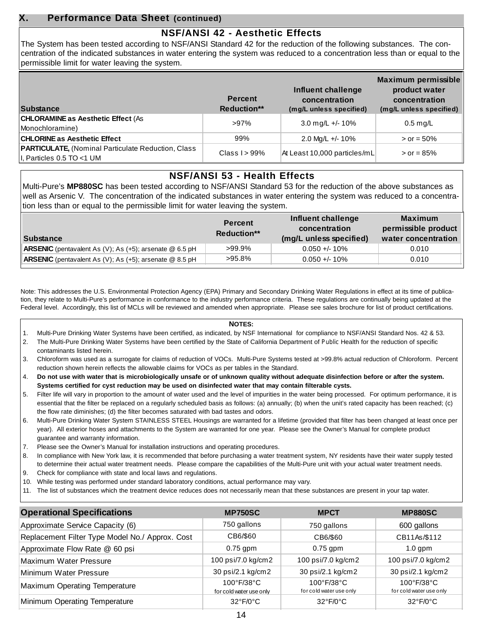### **X. Performance Data Sheet (continued)**

### **NSF/ANSI 42 - Aesthetic Effects**

The System has been tested according to NSF/ANSI Standard 42 for the reduction of the following substances. The concentration of the indicated substances in water entering the system was reduced to a concentration less than or equal to the permissible limit for water leaving the system.

| <b>Substance</b>                                                                        | <b>Percent</b><br><b>Reduction**</b> | Influent challenge<br>concentration<br>(mg/L unless specified) | Maximum permissible<br>product water<br>concentration<br>(mg/L unless specified) |
|-----------------------------------------------------------------------------------------|--------------------------------------|----------------------------------------------------------------|----------------------------------------------------------------------------------|
| <b>CHLORAMINE as Aesthetic Effect (As</b><br>Monochloramine)                            | $>97\%$                              | 3.0 mg/L +/- 10%                                               | $0.5$ mg/L                                                                       |
| <b>CHLORINE as Aesthetic Effect</b>                                                     | 99%                                  | 2.0 Mg/L +/- 10%                                               | $>$ or = 50%                                                                     |
| <b>PARTICULATE, (Nominal Particulate Reduction, Class</b><br>II, Particles 0.5 TO <1 UM | Class $I > 99\%$                     | At Least 10,000 particles/mL                                   | $>$ or = 85%                                                                     |

### **NSF/ANSI 53 - Health Effects**

Multi-Pure's **MP880SC** has been tested according to NSF/ANSI Standard 53 for the reduction of the above substances as well as Arsenic V. The concentration of the indicated substances in water entering the system was reduced to a concentration less than or equal to the permissible limit for water leaving the system.

| Substance                                                        | <b>Percent</b><br><b>Reduction**</b> | Influent challenge<br>concentration<br>(mg/L unless specified) | <b>Maximum</b><br>permissible product<br>water concentration |
|------------------------------------------------------------------|--------------------------------------|----------------------------------------------------------------|--------------------------------------------------------------|
| <b>ARSENIC</b> (pentavalent As (V); As (+5); arsenate $@$ 6.5 pH | $>99.9\%$                            | $0.050 + - 10\%$                                               | 0.010                                                        |
| <b>ARSENIC</b> (pentavalent As (V); As (+5); arsenate $@$ 8.5 pH | $>95.8\%$                            | $0.050 + 10\%$                                                 | 0.010                                                        |

Note: This addresses the U.S. Environmental Protection Agency (EPA) Primary and Secondary Drinking Water Regulations in effect at its time of publication, they relate to Multi-Pure's performance in conformance to the industry performance criteria. These regulations are continually being updated at the Federal level. Accordingly, this list of MCLs will be reviewed and amended when appropriate. Please see sales brochure for list of product certifications.

### **NOTES:**

- 1. Multi-Pure Drinking Water Systems have been certified, as indicated, by NSF International for compliance to NSF/ANSI Standard Nos. 42 & 53.
- 2. The Multi-Pure Drinking Water Systems have been certified by the State of California Department of Public Health for the reduction of specific contaminants listed herein.
- 3. Chloroform was used as a surrogate for claims of reduction of VOCs. Multi-Pure Systems tested at >99.8% actual reduction of Chloroform. Percent reduction shown herein reflects the allowable claims for VOCs as per tables in the Standard.
- 4. **Do not use with water that is microbiologically unsafe or of unknown quality without adequate disinfection before or after the system. Systems certified for cyst reduction may be used on disinfected water that may contain filterable cysts.**
- 5. Filter life will vary in proportion to the amount of water used and the level of impurities in the water being processed. For optimum performance, it is essential that the filter be replaced on a regularly scheduled basis as follows: (a) annually; (b) when the unit's rated capacity has been reached; (c) the flow rate diminishes; (d) the filter becomes saturated with bad tastes and odors.
- 6. Multi-Pure Drinking Water System STAINLESS STEEL Housings are warranted for a lifetime (provided that filter has been changed at least once per year). All exterior hoses and attachments to the System are warranted for one year. Please see the Owner's Manual for complete product guarantee and warranty information.
- 7. Please see the Owner's Manual for installation instructions and operating procedures.
- 8. In compliance with New York law, it is recommended that before purchasing a water treatment system, NY residents have their water supply tested to determine their actual water treatment needs. Please compare the capabilities of the Multi-Pure unit with your actual water treatment needs.
- 9. Check for compliance with state and local laws and regulations.
- 10. While testing was performed under standard laboratory conditions, actual performance may vary.
- 11. The list of substances which the treatment device reduces does not necessarily mean that these substances are present in your tap water.

| <b>Operational Specifications</b>               | <b>MP750SC</b>                                             | <b>MPCT</b>                           | <b>MP880SC</b>                        |
|-------------------------------------------------|------------------------------------------------------------|---------------------------------------|---------------------------------------|
| Approximate Service Capacity (6)                | 750 gallons                                                | 750 gallons                           | 600 gallons                           |
| Replacement Filter Type Model No./ Approx. Cost | CB6/\$60                                                   | CB6/\$60                              | CB11As/\$112                          |
| Approximate Flow Rate @ 60 psi                  | $0.75$ gpm                                                 | $0.75$ gpm                            | $1.0$ gpm                             |
| Maximum Water Pressure                          | 100 psi/7.0 kg/cm2                                         | 100 psi/7.0 kg/cm2                    | 100 psi/7.0 kg/cm2                    |
| Minimum Water Pressure                          | 30 psi/2.1 kg/cm2                                          | 30 psi/2.1 kg/cm2                     | 30 psi/2.1 kg/cm2                     |
| Maximum Operating Temperature                   | $100^{\circ}$ F/38 $^{\circ}$ C<br>for cold water use only | 100°F/38°C<br>for cold water use only | 100°F/38°C<br>for cold water use only |
| Minimum Operating Temperature                   | $32^{\circ}F/0^{\circ}C$                                   | $32^{\circ}F/0^{\circ}C$              | $32^{\circ}F/0^{\circ}C$              |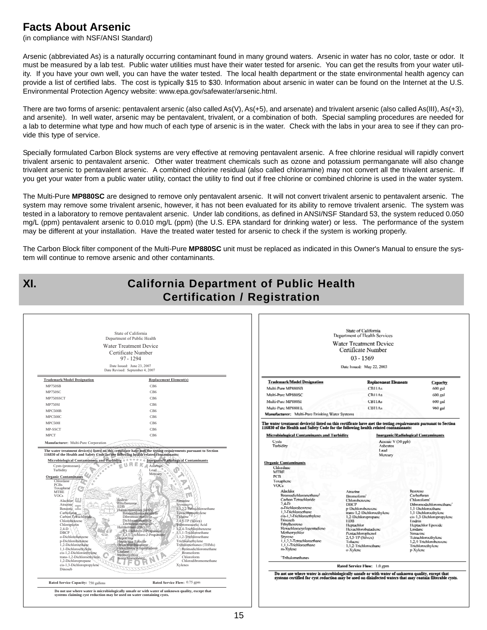# **Facts About Arsenic**

(in compliance with NSF/ANSI Standard)

Arsenic (abbreviated As) is a naturally occurring contaminant found in many ground waters. Arsenic in water has no color, taste or odor. It must be measured by a lab test. Public water utilities must have their water tested for arsenic. You can get the results from your water utility. If you have your own well, you can have the water tested. The local health department or the state environmental health agency can provide a list of certified labs. The cost is typically \$15 to \$30. Information about arsenic in water can be found on the Internet at the U.S. Environmental Protection Agency website: www.epa.gov/safewater/arsenic.html.

There are two forms of arsenic: pentavalent arsenic (also called As(V), As(+5), and arsenate) and trivalent arsenic (also called As(III), As(+3), and arsenite). In well water, arsenic may be pentavalent, trivalent, or a combination of both. Special sampling procedures are needed for a lab to determine what type and how much of each type of arsenic is in the water. Check with the labs in your area to see if they can provide this type of service.

Specially formulated Carbon Block systems are very effective at removing pentavalent arsenic. A free chlorine residual will rapidly convert trivalent arsenic to pentavalent arsenic. Other water treatment chemicals such as ozone and potassium permanganate will also change trivalent arsenic to pentavalent arsenic. A combined chlorine residual (also called chloramine) may not convert all the trivalent arsenic. If you get your water from a public water utility, contact the utility to find out if free chlorine or combined chlorine is used in the water system.

The Multi-Pure **MP880SC** are designed to remove only pentavalent arsenic. It will not convert trivalent arsenic to pentavalent arsenic. The system may remove some trivalent arsenic, however, it has not been evaluated for its ability to remove trivalent arsenic. The system was tested in a laboratory to remove pentavalent arsenic. Under lab conditions, as defined in ANSI/NSF Standard 53, the system reduced 0.050 mg/L (ppm) pentavalent arsenic to 0.010 mg/L (ppm) (the U.S. EPA standard for drinking water) or less. The performance of the system may be different at your installation. Have the treated water tested for arsenic to check if the system is working properly.

The Carbon Block filter component of the Multi-Pure **MP880SC** unit must be replaced as indicated in this Owner's Manual to ensure the system will continue to remove arsenic and other contaminants.

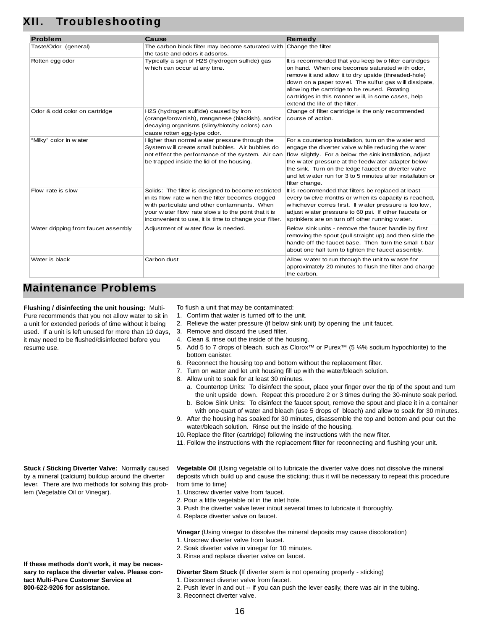| <b>Problem</b>                      | Cause                                                                        | <b>Remedy</b>                                              |
|-------------------------------------|------------------------------------------------------------------------------|------------------------------------------------------------|
| Taste/Odor (general)                | The carbon block filter may become saturated with                            | Change the filter                                          |
|                                     | the taste and odors it adsorbs.                                              |                                                            |
| Rotten egg odor                     | Typically a sign of H2S (hydrogen sulfide) gas                               | It is recommended that you keep two filter cartridges      |
|                                     | w hich can occur at any time.                                                | on hand. When one becomes saturated with odor,             |
|                                     |                                                                              | remove it and allow it to dry upside (threaded-hole)       |
|                                     |                                                                              | down on a paper tow el. The sulfur gas will dissipate,     |
|                                     |                                                                              | allow ing the cartridge to be reused. Rotating             |
|                                     |                                                                              | cartridges in this manner will, in some cases, help        |
|                                     |                                                                              | extend the life of the filter.                             |
| Odor & odd color on cartridge       | H2S (hydrogen sulfide) caused by iron                                        | Change of filter cartridge is the only recommended         |
|                                     | (orange/brow nish), manganese (blackish), and/or                             | course of action.                                          |
|                                     | decaying organisms (slimy/blotchy colors) can<br>cause rotten egg-type odor. |                                                            |
| "Milky" color in water              | Higher than normal w ater pressure through the                               | For a countertop installation, turn on the water and       |
|                                     | System w ill create small bubbles. Air bubbles do                            | engage the diverter valve w hile reducing the w ater       |
|                                     | not effect the performance of the system. Air can                            | flow slightly. For a below the sink installation, adjust   |
|                                     | be trapped inside the lid of the housing.                                    | the water pressure at the feedwater adapter below          |
|                                     |                                                                              | the sink. Turn on the ledge faucet or diverter valve       |
|                                     |                                                                              | and let water run for 3 to 5 minutes after installation or |
|                                     |                                                                              | filter change.                                             |
| Flow rate is slow                   | Solids: The filter is designed to become restricted                          | It is recommended that filters be replaced at least        |
|                                     | in its flow rate when the filter becomes clogged                             | every twelve months or when its capacity is reached,       |
|                                     | w ith particulate and other contaminants. When                               | whichever comes first. If water pressure is too low,       |
|                                     | your water flow rate slows to the point that it is                           | adjust water pressure to 60 psi. If other faucets or       |
|                                     | inconvenient to use, it is time to change your filter.                       | sprinklers are on turn off other running water.            |
| Water dripping from faucet assembly | Adjustment of water flow is needed.                                          | Below sink units - remove the faucet handle by first       |
|                                     |                                                                              | removing the spout (pull straight up) and then slide the   |
|                                     |                                                                              | handle off the faucet base. Then turn the small t-bar      |
|                                     |                                                                              | about one half turn to tighten the faucet assembly.        |
| Water is black                      | Carbon dust                                                                  | Allow water to run through the unit to waste for           |
|                                     |                                                                              | approximately 20 minutes to flush the filter and charge    |
|                                     |                                                                              | the carbon.                                                |

# **Maintenance Problems**

**Flushing / disinfecting the unit housing:** Multi-Pure recommends that you not allow water to sit in a unit for extended periods of time without it being used. If a unit is left unused for more than 10 days, it may need to be flushed/disinfected before you resume use.

- To flush a unit that may be contaminated:
- 1. Confirm that water is turned off to the unit.
- 2. Relieve the water pressure (if below sink unit) by opening the unit faucet.
- 3. Remove and discard the used filter.
- 4. Clean & rinse out the inside of the housing.
- 5. Add 5 to 7 drops of bleach, such as Clorox™ or Purex™ (5 ¼% sodium hypochlorite) to the bottom canister.
- 6. Reconnect the housing top and bottom without the replacement filter.
- 7. Turn on water and let unit housing fill up with the water/bleach solution.
- 8. Allow unit to soak for at least 30 minutes.
	- a. Countertop Units: To disinfect the spout, place your finger over the tip of the spout and turn the unit upside down. Repeat this procedure 2 or 3 times during the 30-minute soak period. b. Below Sink Units: To disinfect the faucet spout, remove the spout and place it in a container
- with one-quart of water and bleach (use 5 drops of bleach) and allow to soak for 30 minutes. 9. After the housing has soaked for 30 minutes, disassemble the top and bottom and pour out the
- water/bleach solution. Rinse out the inside of the housing.
- 10. Replace the filter (cartridge) following the instructions with the new filter.
- 11. Follow the instructions with the replacement filter for reconnecting and flushing your unit.

**Vegetable Oil** (Using vegetable oil to lubricate the diverter valve does not dissolve the mineral deposits which build up and cause the sticking; thus it will be necessary to repeat this procedure from time to time)

- 1. Unscrew diverter valve from faucet.
- 2. Pour a little vegetable oil in the inlet hole.
- 3. Push the diverter valve lever in/out several times to lubricate it thoroughly.
- 4. Replace diverter valve on faucet.

### **Vinegar** (Using vinegar to dissolve the mineral deposits may cause discoloration)

- 1. Unscrew diverter valve from faucet.
- 2. Soak diverter valve in vinegar for 10 minutes.
- 3. Rinse and replace diverter valve on faucet.

### **Diverter Stem Stuck (**If diverter stem is not operating properly - sticking)

- 1. Disconnect diverter valve from faucet.
- 2. Push lever in and out -- if you can push the lever easily, there was air in the tubing.
- 3. Reconnect diverter valve.

**If these methods don't work, it may be necessary to replace the diverter valve. Please con-**

**tact Multi-Pure Customer Service at 800-622-9206 for assistance.**

**Stuck / Sticking Diverter Valve:** Normally caused by a mineral (calcium) buildup around the diverter lever. There are two methods for solving this prob-

lem (Vegetable Oil or Vinegar).

### 16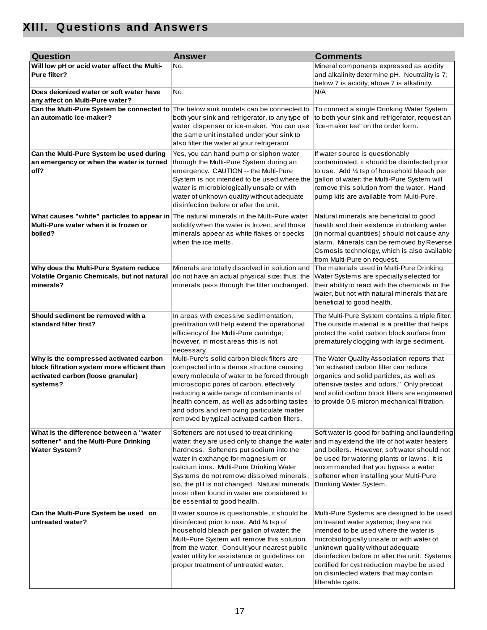# **XIII. Questions and Answers**

| <b>Question</b>                                                                                                                             | <b>Answer</b>                                                                                                                                                                                                                                                                                                                                                                                                                                 | <b>Comments</b>                                                                                                                                                                                                                                                                                                                                                                 |
|---------------------------------------------------------------------------------------------------------------------------------------------|-----------------------------------------------------------------------------------------------------------------------------------------------------------------------------------------------------------------------------------------------------------------------------------------------------------------------------------------------------------------------------------------------------------------------------------------------|---------------------------------------------------------------------------------------------------------------------------------------------------------------------------------------------------------------------------------------------------------------------------------------------------------------------------------------------------------------------------------|
| Will low pH or acid water affect the Multi-<br>Pure filter?                                                                                 | No.                                                                                                                                                                                                                                                                                                                                                                                                                                           | Mineral components expressed as acidity<br>and alkalinity determine pH. Neutrality is 7;<br>below 7 is acidity; above 7 is alkalinity.                                                                                                                                                                                                                                          |
| Does deionized water or soft water have<br>any affect on Multi-Pure water?                                                                  | No.                                                                                                                                                                                                                                                                                                                                                                                                                                           | N/A                                                                                                                                                                                                                                                                                                                                                                             |
| Can the Multi-Pure System be connected to The below sink models can be connected to<br>an automatic ice-maker?                              | both your sink and refrigerator, to any type of<br>water dispenser or ice-maker. You can use<br>the same unit installed under your sink to<br>also filter the water at your refrigerator.                                                                                                                                                                                                                                                     | To connect a single Drinking Water System<br>to both your sink and refrigerator, request an<br>"ice-maker tee" on the order form.                                                                                                                                                                                                                                               |
| Can the Multi-Pure System be used during<br>an emergency or when the water is turned<br>off?                                                | Yes, you can hand pump or siphon water<br>through the Multi-Pure System during an<br>emergency. CAUTION -- the Multi-Pure<br>System is not intended to be used where the<br>water is microbiologically unsafe or with<br>water of unknown quality without adequate<br>disinfection before or after the unit.                                                                                                                                  | If water source is questionably<br>contaminated, it should be disinfected prior<br>to use. Add 1/4 tsp of household bleach per<br>gallon of water; the Multi-Pure System will<br>remove this solution from the water. Hand<br>pump kits are available from Multi-Pure.                                                                                                          |
| What causes "white" particles to appear in The natural minerals in the Multi-Pure water<br>Multi-Pure water when it is frozen or<br>boiled? | solidify when the water is frozen, and those<br>minerals appear as white flakes or specks<br>when the ice melts.                                                                                                                                                                                                                                                                                                                              | Natural minerals are beneficial to good<br>health and their existence in drinking water<br>(in normal quantities) should not cause any<br>alarm. Minerals can be removed by Reverse<br>Osmosis technology, which is also available<br>from Multi-Pure on request.                                                                                                               |
| Why does the Multi-Pure System reduce<br>Volatile Organic Chemicals, but not natural<br>minerals?                                           | Minerals are totally dissolved in solution and<br>do not have an actual physical size; thus, the<br>minerals pass through the filter unchanged.                                                                                                                                                                                                                                                                                               | The materials used in Multi-Pure Drinking<br>Water Systems are specially selected for<br>their ability to react with the chemicals in the<br>water, but not with natural minerals that are<br>beneficial to good health.                                                                                                                                                        |
| Should sediment be removed with a<br>standard filter first?                                                                                 | In areas with excessive sedimentation,<br>prefiltration will help extend the operational<br>efficiency of the Multi-Pure cartridge;<br>however, in most areas this is not<br>necessary.                                                                                                                                                                                                                                                       | The Multi-Pure System contains a triple filter.<br>The outside material is a prefilter that helps<br>protect the solid carbon block surface from<br>prematurely clogging with large sediment.                                                                                                                                                                                   |
| Why is the compressed activated carbon<br>block filtration system more efficient than<br>activated carbon (loose granular)<br>systems?      | Multi-Pure's solid carbon block filters are<br>compacted into a dense structure causing<br>every molecule of water to be forced through<br>microscopic pores of carbon, effectively<br>reducing a wide range of contaminants of<br>health concern, as well as adsorbing tastes<br>and odors and removing particulate matter<br>removed by typical activated carbon filters.                                                                   | The Water Quality Association reports that<br>"an activated carbon filter can reduce<br>organics and solid particles, as well as<br>offensive tastes and odors." Only precoat<br>and solid carbon block filters are engineered<br>to provide 0.5 micron mechanical filtration.                                                                                                  |
| What is the difference between a "water<br>softener" and the Multi-Pure Drinking<br><b>Water System?</b>                                    | Softeners are not used to treat drinking<br>water; they are used only to change the water and may extend the life of hot water heaters<br>hardness. Softeners put sodium into the<br>water in exchange for magnesium or<br>calcium ions. Multi-Pure Drinking Water<br>Systems do not remove dissolved minerals,<br>so, the pH is not changed. Natural minerals<br>most often found in water are considered to<br>be essential to good health. | Soft water is good for bathing and laundering<br>and boilers. However, soft water should not<br>be used for watering plants or lawns. It is<br>recommended that you bypass a water<br>softener when installing your Multi-Pure<br>Drinking Water System.                                                                                                                        |
| Can the Multi-Pure System be used on<br>untreated water?                                                                                    | If water source is questionable, it should be<br>disinfected prior to use. Add 1/4 tsp of<br>household bleach per gallon of water; the<br>Multi-Pure System will remove this solution<br>from the water. Consult your nearest public<br>water utility for assistance or guidelines on<br>proper treatment of untreated water.                                                                                                                 | Multi-Pure Systems are designed to be used<br>on treated water systems; they are not<br>intended to be used where the water is<br>microbiologically unsafe or with water of<br>unknown quality without adequate<br>disinfection before or after the unit. Systems<br>certified for cyst reduction may be be used<br>on disinfected waters that may contain<br>filterable cysts. |